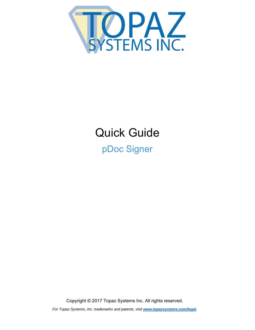

# Quick Guide pDoc Signer

Copyright © 2017 Topaz Systems Inc. All rights reserved. *For Topaz Systems, Inc. trademarks and patents, visit www.topazsystems.com/legal.*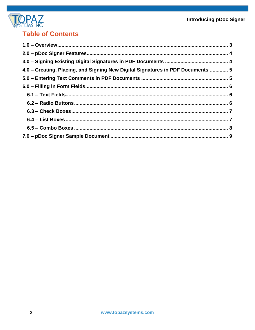

# **Table of Contents**

| 4.0 - Creating, Placing, and Signing New Digital Signatures in PDF Documents  5 |  |
|---------------------------------------------------------------------------------|--|
|                                                                                 |  |
|                                                                                 |  |
|                                                                                 |  |
|                                                                                 |  |
|                                                                                 |  |
|                                                                                 |  |
|                                                                                 |  |
|                                                                                 |  |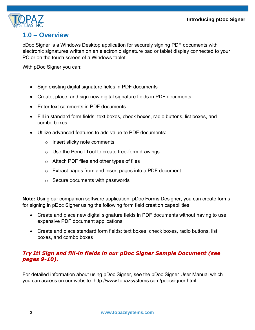

## **1.0 – Overview**

<span id="page-2-0"></span>pDoc Signer is a Windows Desktop application for securely signing PDF documents with electronic signatures written on an electronic signature pad or tablet display connected to your PC or on the touch screen of a Windows tablet.

With pDoc Signer you can:

- Sign existing digital signature fields in PDF documents
- Create, place, and sign new digital signature fields in PDF documents
- Enter text comments in PDF documents
- Fill in standard form fields: text boxes, check boxes, radio buttons, list boxes, and combo boxes
- Utilize advanced features to add value to PDF documents:
	- o Insert sticky note comments
	- $\circ$  Use the Pencil Tool to create free-form drawings
	- o Attach PDF files and other types of files
	- o Extract pages from and insert pages into a PDF document
	- $\circ$  Secure documents with passwords

**Note:** Using our companion software application, pDoc Forms Designer, you can create forms for signing in pDoc Signer using the following form field creation capabilities:

- Create and place new digital signature fields in PDF documents without having to use expensive PDF document applications
- Create and place standard form fields: text boxes, check boxes, radio buttons, list boxes, and combo boxes

## *Try It! Sign and fill-in fields in our pDoc Signer Sample Document (see pages 9-10).*

For detailed information about using pDoc Signer, see the pDoc Signer User Manual which you can access on our website: http://www.topazsystems.com/pdocsigner.html.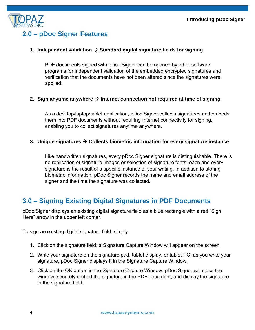

## <span id="page-3-0"></span>**2.0 – pDoc Signer Features**

## **1. Independent validation Standard digital signature fields for signing**

PDF documents signed with pDoc Signer can be opened by other software programs for independent validation of the embedded encrypted signatures and verification that the documents have not been altered since the signatures were applied.

#### **2.** Sign anytime anywhere  $\rightarrow$  Internet connection not required at time of signing

As a desktop/laptop/tablet application, pDoc Signer collects signatures and embeds them into PDF documents without requiring Internet connectivity for signing, enabling you to collect signatures anytime anywhere.

#### **3. Unique signatures Collects biometric information for every signature instance**

Like handwritten signatures, every pDoc Signer signature is distinguishable. There is no replication of signature images or selection of signature fonts; each and every signature is the result of a specific instance of your writing. In addition to storing biometric information, pDoc Signer records the name and email address of the signer and the time the signature was collected.

## <span id="page-3-1"></span>**3.0 – Signing Existing Digital Signatures in PDF Documents**

pDoc Signer displays an existing digital signature field as a blue rectangle with a red "Sign Here" arrow in the upper left corner.

To sign an existing digital signature field, simply:

- 1. Click on the signature field; a Signature Capture Window will appear on the screen.
- 2. Write your signature on the signature pad, tablet display, or tablet PC; as you write your signature, pDoc Signer displays it in the Signature Capture Window.
- 3. Click on the OK button in the Signature Capture Window; pDoc Signer will close the window, securely embed the signature in the PDF document, and display the signature in the signature field.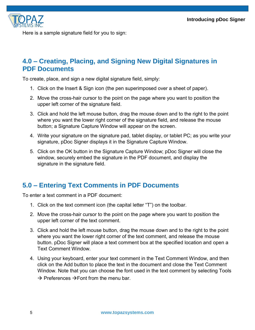

Here is a sample signature field for you to sign:

## <span id="page-4-0"></span>**4.0 – Creating, Placing, and Signing New Digital Signatures in PDF Documents**

To create, place, and sign a new digital signature field, simply:

- 1. Click on the Insert & Sign icon (the pen superimposed over a sheet of paper).
- 2. Move the cross-hair cursor to the point on the page where you want to position the upper left corner of the signature field.
- 3. Click and hold the left mouse button, drag the mouse down and to the right to the point where you want the lower right corner of the signature field, and release the mouse button; a Signature Capture Window will appear on the screen.
- 4. Write your signature on the signature pad, tablet display, or tablet PC; as you write your signature, pDoc Signer displays it in the Signature Capture Window.
- 5. Click on the OK button in the Signature Capture Window; pDoc Signer will close the window, securely embed the signature in the PDF document, and display the signature in the signature field.

## <span id="page-4-1"></span>**5.0 – Entering Text Comments in PDF Documents**

To enter a text comment in a PDF document:

- 1. Click on the text comment icon (the capital letter "T") on the toolbar.
- 2. Move the cross-hair cursor to the point on the page where you want to position the upper left corner of the text comment.
- 3. Click and hold the left mouse button, drag the mouse down and to the right to the point where you want the lower right corner of the text comment, and release the mouse button. pDoc Signer will place a text comment box at the specified location and open a Text Comment Window.
- 4. Using your keyboard, enter your text comment in the Text Comment Window, and then click on the Add button to place the text in the document and close the Text Comment Window. Note that you can choose the font used in the text comment by selecting Tools  $\rightarrow$  Preferences  $\rightarrow$  Font from the menu bar.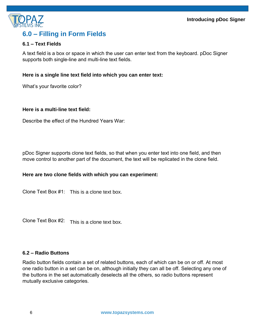

# <span id="page-5-0"></span>**6.0 – Filling in Form Fields**

## <span id="page-5-1"></span>**6.1 – Text Fields**

A text field is a box or space in which the user can enter text from the keyboard. pDoc Signer supports both single-line and multi-line text fields.

#### **Here is a single line text field into which you can enter text:**

What's your favorite color?

#### **Here is a multi-line text field:**

Describe the effect of the Hundred Years War:

pDoc Signer supports clone text fields, so that when you enter text into one field, and then move control to another part of the document, the text will be replicated in the clone field.

#### **Here are two clone fields with which you can experiment:**

Clone Text Box #1: This is a clone text box.

Clone Text Box #2: This is a clone text box.

#### <span id="page-5-2"></span>**6.2 – Radio Buttons**

Radio button fields contain a set of related buttons, each of which can be on or off. At most one radio button in a set can be on, although initially they can all be off. Selecting any one of the buttons in the set automatically deselects all the others, so radio buttons represent mutually exclusive categories.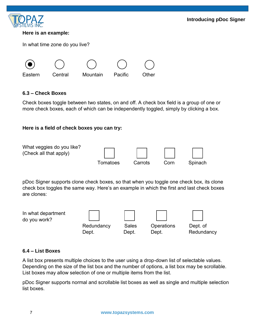

#### **Here is an example:**

In what time zone do you live?



## <span id="page-6-0"></span>**6.3 – Check Boxes**

Check boxes toggle between two states, on and off. A check box field is a group of one or more check boxes, each of which can be independently toggled, simply by clicking a box.

## **Here is a field of check boxes you can try:**



pDoc Signer supports clone check boxes, so that when you toggle one check box, its clone check box toggles the same way. Here's an example in which the first and last check boxes are clones:

In what department do you work? Redundancy Sales Operations Dept. of Dept. Dept. Dept. Redundancy

#### <span id="page-6-1"></span>**6.4 – List Boxes**

A list box presents multiple choices to the user using a drop-down list of selectable values. Depending on the size of the list box and the number of options, a list box may be scrollable. List boxes may allow selection of one or multiple items from the list.

pDoc Signer supports normal and scrollable list boxes as well as single and multiple selection list boxes.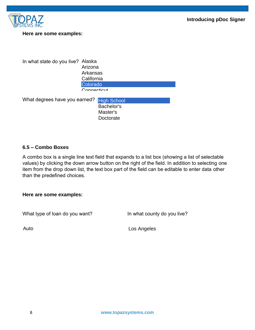



#### **Here are some examples:**

In what state do you live? Alaska What degrees have you earned? Arizona Arkansas **California** Colorado Connecticut High School Bachelor's Master's

**Doctorate** 

#### <span id="page-7-0"></span>**6.5 – Combo Boxes**

A combo box is a single line text field that expands to a list box (showing a list of selectable values) by clicking the down arrow button on the right of the field. In addition to selecting one item from the drop down list, the text box part of the field can be editable to enter data other than the predefined choices.

**Here are some examples:** 

What type of loan do you want? In what county do you live?

Auto **Los Angeles**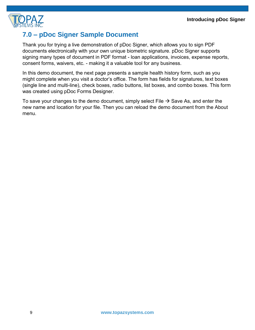

# **7.0 – pDoc Signer Sample Document**

<span id="page-8-0"></span>Thank you for trying a live demonstration of pDoc Signer, which allows you to sign PDF documents electronically with your own unique biometric signature. pDoc Signer supports signing many types of document in PDF format - loan applications, invoices, expense reports, consent forms, waivers, etc. - making it a valuable tool for any business.

In this demo document, the next page presents a sample health history form, such as you might complete when you visit a doctor's office. The form has fields for signatures, text boxes (single line and multi-line), check boxes, radio buttons, list boxes, and combo boxes. This form was created using pDoc Forms Designer.

To save your changes to the demo document, simply select File  $\rightarrow$  Save As, and enter the new name and location for your file. Then you can reload the demo document from the About menu.